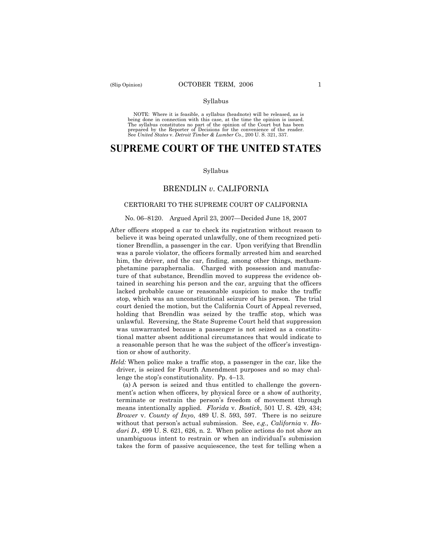#### Syllabus

NOTE: Where it is feasible, a syllabus (headnote) will be released, as is being done in connection with this case, at the time the opinion is issued. The syllabus constitutes no part of the opinion of the Court but has been<br>prepared by the Reporter of Decisions for the convenience of the reader.<br>See United States v. Detroit Timber & Lumber Co., 200 U. S. 321, 337.

# **SUPREME COURT OF THE UNITED STATES**

#### Syllabus

## BRENDLIN *v*. CALIFORNIA

#### CERTIORARI TO THE SUPREME COURT OF CALIFORNIA

#### No. 06–8120. Argued April 23, 2007—Decided June 18, 2007

- After officers stopped a car to check its registration without reason to believe it was being operated unlawfully, one of them recognized petitioner Brendlin, a passenger in the car. Upon verifying that Brendlin was a parole violator, the officers formally arrested him and searched him, the driver, and the car, finding, among other things, methamphetamine paraphernalia. Charged with possession and manufacture of that substance, Brendlin moved to suppress the evidence obtained in searching his person and the car, arguing that the officers lacked probable cause or reasonable suspicion to make the traffic stop, which was an unconstitutional seizure of his person. The trial court denied the motion, but the California Court of Appeal reversed, holding that Brendlin was seized by the traffic stop, which was unlawful. Reversing, the State Supreme Court held that suppression was unwarranted because a passenger is not seized as a constitutional matter absent additional circumstances that would indicate to a reasonable person that he was the subject of the officer's investigation or show of authority.
- *Held:* When police make a traffic stop, a passenger in the car, like the driver, is seized for Fourth Amendment purposes and so may challenge the stop's constitutionality. Pp. 4–13.

(a) A person is seized and thus entitled to challenge the government's action when officers, by physical force or a show of authority, terminate or restrain the person's freedom of movement through means intentionally applied. *Florida* v. *Bostick*, 501 U. S. 429, 434; *Brower* v. *County of Inyo*, 489 U. S. 593, 597. There is no seizure without that person's actual submission. See, *e.g., California* v. *Hodari D.*, 499 U. S. 621, 626, n. 2. When police actions do not show an unambiguous intent to restrain or when an individual's submission takes the form of passive acquiescence, the test for telling when a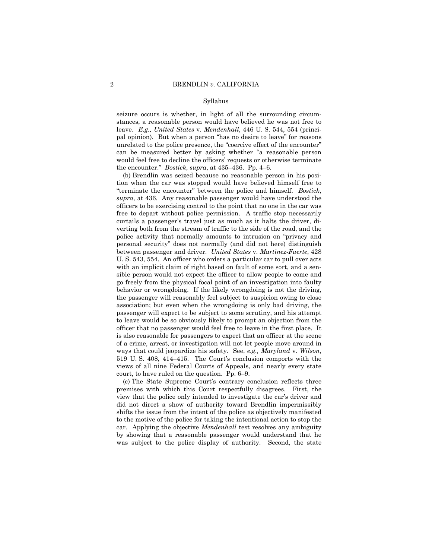#### Syllabus

seizure occurs is whether, in light of all the surrounding circumstances, a reasonable person would have believed he was not free to leave. *E.g., United States* v. *Mendenhall*, 446 U. S. 544, 554 (principal opinion). But when a person "has no desire to leave" for reasons unrelated to the police presence, the "coercive effect of the encounter" can be measured better by asking whether "a reasonable person would feel free to decline the officers' requests or otherwise terminate the encounter." *Bostick*, *supra*, at 435–436. Pp. 4–6.

(b) Brendlin was seized because no reasonable person in his position when the car was stopped would have believed himself free to "terminate the encounter" between the police and himself. *Bostick*, *supra*, at 436. Any reasonable passenger would have understood the officers to be exercising control to the point that no one in the car was free to depart without police permission. A traffic stop necessarily curtails a passenger's travel just as much as it halts the driver, diverting both from the stream of traffic to the side of the road, and the police activity that normally amounts to intrusion on "privacy and personal security" does not normally (and did not here) distinguish between passenger and driver. *United States* v. *Martinez-Fuerte*, 428 U. S. 543, 554. An officer who orders a particular car to pull over acts with an implicit claim of right based on fault of some sort, and a sensible person would not expect the officer to allow people to come and go freely from the physical focal point of an investigation into faulty behavior or wrongdoing. If the likely wrongdoing is not the driving, the passenger will reasonably feel subject to suspicion owing to close association; but even when the wrongdoing is only bad driving, the passenger will expect to be subject to some scrutiny, and his attempt to leave would be so obviously likely to prompt an objection from the officer that no passenger would feel free to leave in the first place. It is also reasonable for passengers to expect that an officer at the scene of a crime, arrest, or investigation will not let people move around in ways that could jeopardize his safety. See, *e.g., Maryland* v. *Wilson*, 519 U. S. 408, 414–415. The Court's conclusion comports with the views of all nine Federal Courts of Appeals, and nearly every state court, to have ruled on the question. Pp. 6–9.

(c) The State Supreme Court's contrary conclusion reflects three premises with which this Court respectfully disagrees. First, the view that the police only intended to investigate the car's driver and did not direct a show of authority toward Brendlin impermissibly shifts the issue from the intent of the police as objectively manifested to the motive of the police for taking the intentional action to stop the car. Applying the objective *Mendenhall* test resolves any ambiguity by showing that a reasonable passenger would understand that he was subject to the police display of authority. Second, the state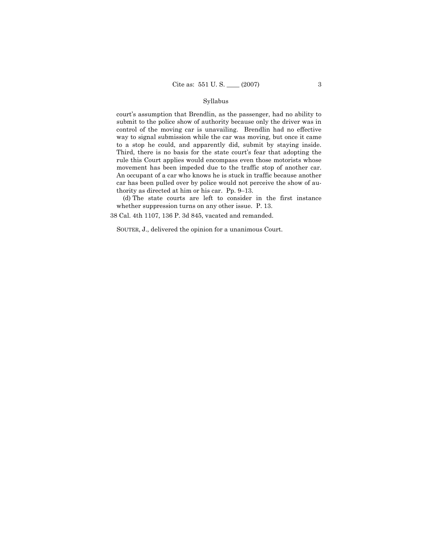### Syllabus

court's assumption that Brendlin, as the passenger, had no ability to submit to the police show of authority because only the driver was in control of the moving car is unavailing. Brendlin had no effective way to signal submission while the car was moving, but once it came to a stop he could, and apparently did, submit by staying inside. Third, there is no basis for the state court's fear that adopting the rule this Court applies would encompass even those motorists whose movement has been impeded due to the traffic stop of another car. An occupant of a car who knows he is stuck in traffic because another car has been pulled over by police would not perceive the show of authority as directed at him or his car. Pp. 9–13.

(d) The state courts are left to consider in the first instance whether suppression turns on any other issue. P. 13.

38 Cal. 4th 1107, 136 P. 3d 845, vacated and remanded.

SOUTER, J., delivered the opinion for a unanimous Court.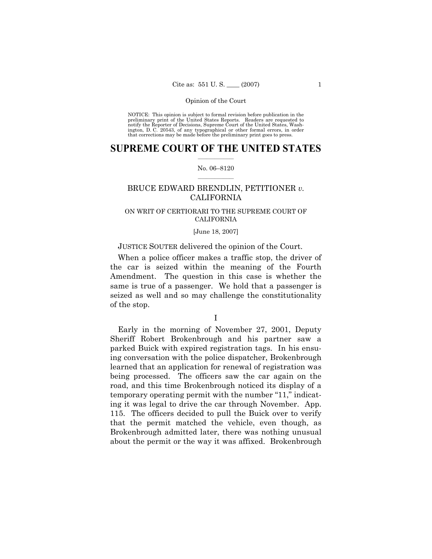NOTICE: This opinion is subject to formal revision before publication in the preliminary print of the United States Reports. Readers are requested to notify the Reporter of Decisions, Supreme Court of the United States, Washington, D. C. 20543, of any typographical or other formal errors, in order that corrections may be made before the preliminary print goes to press.

## $\frac{1}{2}$  , where  $\frac{1}{2}$ **SUPREME COURT OF THE UNITED STATES**

#### $\mathcal{L}=\mathcal{L}$ No. 06–8120

# BRUCE EDWARD BRENDLIN, PETITIONER *v.* CALIFORNIA

# ON WRIT OF CERTIORARI TO THE SUPREME COURT OF CALIFORNIA

#### [June 18, 2007]

# JUSTICE SOUTER delivered the opinion of the Court.

When a police officer makes a traffic stop, the driver of the car is seized within the meaning of the Fourth Amendment. The question in this case is whether the same is true of a passenger. We hold that a passenger is seized as well and so may challenge the constitutionality of the stop.

I

Early in the morning of November 27, 2001, Deputy Sheriff Robert Brokenbrough and his partner saw a parked Buick with expired registration tags. In his ensuing conversation with the police dispatcher, Brokenbrough learned that an application for renewal of registration was being processed. The officers saw the car again on the road, and this time Brokenbrough noticed its display of a temporary operating permit with the number "11," indicating it was legal to drive the car through November. App. 115. The officers decided to pull the Buick over to verify that the permit matched the vehicle, even though, as Brokenbrough admitted later, there was nothing unusual about the permit or the way it was affixed. Brokenbrough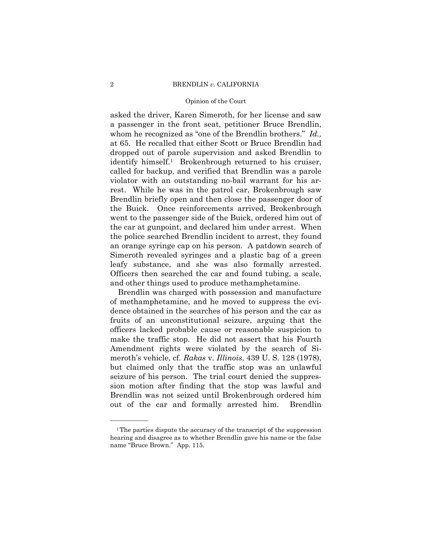## 2 BRENDLIN *v.* CALIFORNIA

#### Opinion of the Court

asked the driver, Karen Simeroth, for her license and saw a passenger in the front seat, petitioner Bruce Brendlin, whom he recognized as "one of the Brendlin brothers." *Id.,*  at 65. He recalled that either Scott or Bruce Brendlin had dropped out of parole supervision and asked Brendlin to identify himself.<sup>1</sup> Brokenbrough returned to his cruiser, called for backup, and verified that Brendlin was a parole violator with an outstanding no-bail warrant for his arrest. While he was in the patrol car, Brokenbrough saw Brendlin briefly open and then close the passenger door of the Buick. Once reinforcements arrived, Brokenbrough went to the passenger side of the Buick, ordered him out of the car at gunpoint, and declared him under arrest. When the police searched Brendlin incident to arrest, they found an orange syringe cap on his person. A patdown search of Simeroth revealed syringes and a plastic bag of a green leafy substance, and she was also formally arrested. Officers then searched the car and found tubing, a scale, and other things used to produce methamphetamine.

Brendlin was charged with possession and manufacture of methamphetamine, and he moved to suppress the evidence obtained in the searches of his person and the car as fruits of an unconstitutional seizure, arguing that the officers lacked probable cause or reasonable suspicion to make the traffic stop. He did not assert that his Fourth Amendment rights were violated by the search of Simeroth's vehicle, cf. *Rakas* v. *Illinois*, 439 U. S. 128 (1978), but claimed only that the traffic stop was an unlawful seizure of his person. The trial court denied the suppression motion after finding that the stop was lawful and Brendlin was not seized until Brokenbrough ordered him out of the car and formally arrested him. Brendlin

<sup>1</sup>The parties dispute the accuracy of the transcript of the suppression hearing and disagree as to whether Brendlin gave his name or the false name "Bruce Brown." App. 115.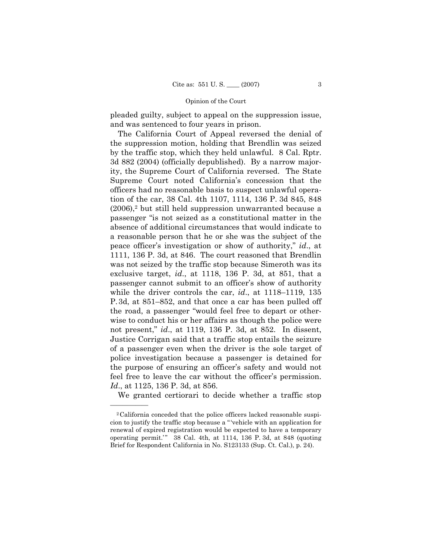pleaded guilty, subject to appeal on the suppression issue, and was sentenced to four years in prison.

The California Court of Appeal reversed the denial of the suppression motion, holding that Brendlin was seized by the traffic stop, which they held unlawful. 8 Cal. Rptr. 3d 882 (2004) (officially depublished). By a narrow majority, the Supreme Court of California reversed. The State Supreme Court noted California's concession that the officers had no reasonable basis to suspect unlawful operation of the car, 38 Cal. 4th 1107, 1114, 136 P. 3d 845, 848  $(2006)<sup>2</sup>$  but still held suppression unwarranted because a passenger "is not seized as a constitutional matter in the absence of additional circumstances that would indicate to a reasonable person that he or she was the subject of the peace officer's investigation or show of authority," *id*., at 1111, 136 P. 3d, at 846. The court reasoned that Brendlin was not seized by the traffic stop because Simeroth was its exclusive target, *id*., at 1118, 136 P. 3d, at 851, that a passenger cannot submit to an officer's show of authority while the driver controls the car, *id*., at 1118–1119, 135 P.3d, at 851–852, and that once a car has been pulled off the road, a passenger "would feel free to depart or otherwise to conduct his or her affairs as though the police were not present," *id*., at 1119, 136 P. 3d, at 852. In dissent, Justice Corrigan said that a traffic stop entails the seizure of a passenger even when the driver is the sole target of police investigation because a passenger is detained for the purpose of ensuring an officer's safety and would not feel free to leave the car without the officer's permission. *Id*., at 1125, 136 P. 3d, at 856.

We granted certiorari to decide whether a traffic stop

<sup>2</sup>California conceded that the police officers lacked reasonable suspicion to justify the traffic stop because a " 'vehicle with an application for renewal of expired registration would be expected to have a temporary operating permit.'"  $38$  Cal. 4th, at 1114, 136 P. 3d, at 848 (quoting Brief for Respondent California in No. S123133 (Sup. Ct. Cal.), p. 24).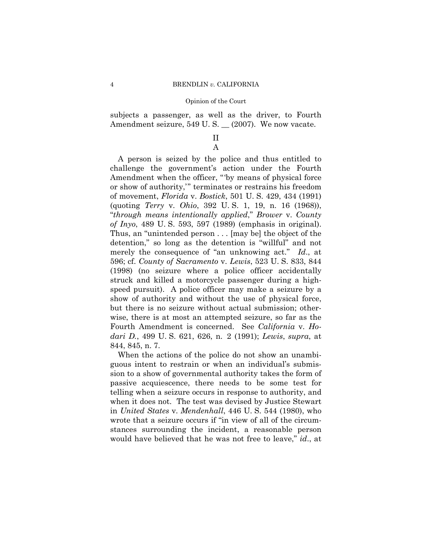subjects a passenger, as well as the driver, to Fourth Amendment seizure, 549 U.S. \_ (2007). We now vacate.

# II A

A person is seized by the police and thus entitled to challenge the government's action under the Fourth Amendment when the officer, "'by means of physical force or show of authority,'" terminates or restrains his freedom of movement, *Florida* v. *Bostick*, 501 U. S. 429, 434 (1991) (quoting *Terry* v. *Ohio*, 392 U. S. 1, 19, n. 16 (1968)), "*through means intentionally applied*," *Brower* v. *County of Inyo*, 489 U. S. 593, 597 (1989) (emphasis in original). Thus, an "unintended person . . . [may be] the object of the detention," so long as the detention is "willful" and not merely the consequence of "an unknowing act." *Id*., at 596; cf. *County of Sacramento* v. *Lewis*, 523 U. S. 833, 844 (1998) (no seizure where a police officer accidentally struck and killed a motorcycle passenger during a highspeed pursuit). A police officer may make a seizure by a show of authority and without the use of physical force, but there is no seizure without actual submission; otherwise, there is at most an attempted seizure, so far as the Fourth Amendment is concerned. See *California* v. *Hodari D.*, 499 U. S. 621, 626, n. 2 (1991); *Lewis*, *supra*, at 844, 845, n. 7.

When the actions of the police do not show an unambiguous intent to restrain or when an individual's submission to a show of governmental authority takes the form of passive acquiescence, there needs to be some test for telling when a seizure occurs in response to authority, and when it does not. The test was devised by Justice Stewart in *United States* v. *Mendenhall*, 446 U. S. 544 (1980), who wrote that a seizure occurs if "in view of all of the circumstances surrounding the incident, a reasonable person would have believed that he was not free to leave," *id*., at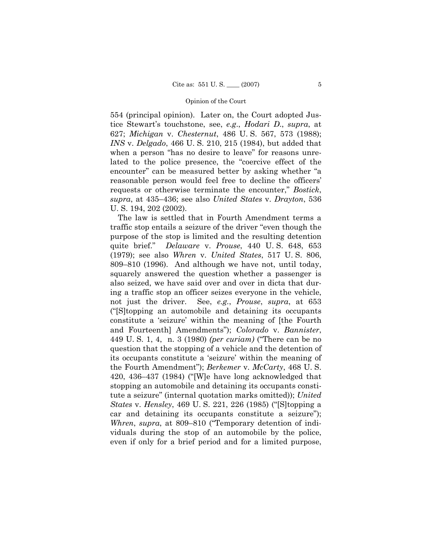554 (principal opinion). Later on, the Court adopted Justice Stewart's touchstone, see, *e.g*., *Hodari D*., *supra*, at 627; *Michigan* v. *Chesternut*, 486 U. S. 567, 573 (1988); *INS* v. *Delgado*, 466 U. S. 210, 215 (1984), but added that when a person "has no desire to leave" for reasons unrelated to the police presence, the "coercive effect of the encounter" can be measured better by asking whether "a reasonable person would feel free to decline the officers' requests or otherwise terminate the encounter," *Bostick*, *supra*, at 435–436; see also *United States* v. *Drayton*, 536 U. S. 194, 202 (2002).

The law is settled that in Fourth Amendment terms a traffic stop entails a seizure of the driver "even though the purpose of the stop is limited and the resulting detention quite brief." *Delaware* v. *Prouse*, 440 U. S. 648, 653 (1979); see also *Whren* v. *United States*, 517 U. S. 806, 809–810 (1996). And although we have not, until today, squarely answered the question whether a passenger is also seized, we have said over and over in dicta that during a traffic stop an officer seizes everyone in the vehicle, not just the driver. See, *e.g.*, *Prouse*, *supra*, at 653 ("[S]topping an automobile and detaining its occupants constitute a 'seizure' within the meaning of [the Fourth and Fourteenth] Amendments"); *Colorado* v. *Bannister*, 449 U. S. 1, 4, n. 3 (1980) *(per curiam)* ("There can be no question that the stopping of a vehicle and the detention of its occupants constitute a 'seizure' within the meaning of the Fourth Amendment"); *Berkemer* v. *McCarty*, 468 U. S. 420, 436–437 (1984) ("[W]e have long acknowledged that stopping an automobile and detaining its occupants constitute a seizure" (internal quotation marks omitted)); *United States* v. *Hensley*, 469 U. S. 221, 226 (1985) ("[S]topping a car and detaining its occupants constitute a seizure"); *Whren*, *supra*, at 809–810 ("Temporary detention of individuals during the stop of an automobile by the police, even if only for a brief period and for a limited purpose,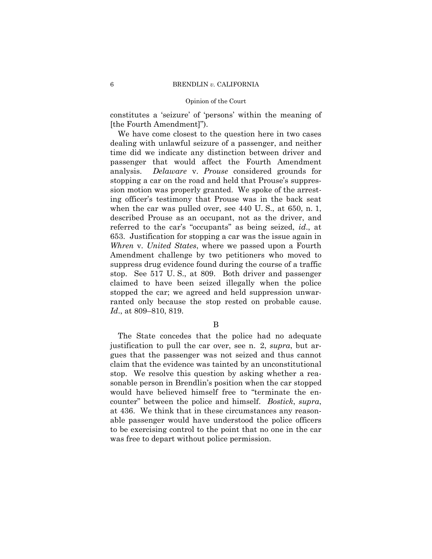constitutes a 'seizure' of 'persons' within the meaning of [the Fourth Amendment]").

We have come closest to the question here in two cases dealing with unlawful seizure of a passenger, and neither time did we indicate any distinction between driver and passenger that would affect the Fourth Amendment analysis. *Delaware* v. *Prouse* considered grounds for stopping a car on the road and held that Prouse's suppression motion was properly granted. We spoke of the arresting officer's testimony that Prouse was in the back seat when the car was pulled over, see 440 U. S., at 650, n. 1, described Prouse as an occupant, not as the driver, and referred to the car's "occupants" as being seized, *id*., at 653. Justification for stopping a car was the issue again in *Whren* v. *United States*, where we passed upon a Fourth Amendment challenge by two petitioners who moved to suppress drug evidence found during the course of a traffic stop. See 517 U. S., at 809. Both driver and passenger claimed to have been seized illegally when the police stopped the car; we agreed and held suppression unwarranted only because the stop rested on probable cause. *Id*., at 809–810, 819.

B

The State concedes that the police had no adequate justification to pull the car over, see n. 2, *supra*, but argues that the passenger was not seized and thus cannot claim that the evidence was tainted by an unconstitutional stop. We resolve this question by asking whether a reasonable person in Brendlin's position when the car stopped would have believed himself free to "terminate the encounter" between the police and himself. *Bostick*, *supra*, at 436. We think that in these circumstances any reasonable passenger would have understood the police officers to be exercising control to the point that no one in the car was free to depart without police permission.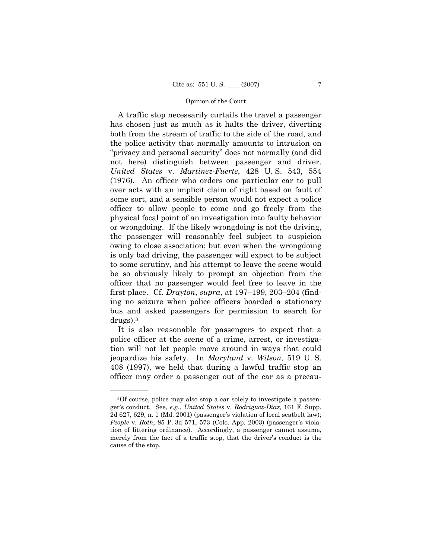A traffic stop necessarily curtails the travel a passenger has chosen just as much as it halts the driver, diverting both from the stream of traffic to the side of the road, and the police activity that normally amounts to intrusion on "privacy and personal security" does not normally (and did not here) distinguish between passenger and driver. *United States* v. *Martinez-Fuerte*, 428 U. S. 543, 554 (1976). An officer who orders one particular car to pull over acts with an implicit claim of right based on fault of some sort, and a sensible person would not expect a police officer to allow people to come and go freely from the physical focal point of an investigation into faulty behavior or wrongdoing. If the likely wrongdoing is not the driving, the passenger will reasonably feel subject to suspicion owing to close association; but even when the wrongdoing is only bad driving, the passenger will expect to be subject to some scrutiny, and his attempt to leave the scene would be so obviously likely to prompt an objection from the officer that no passenger would feel free to leave in the first place. Cf. *Drayton*, *supra*, at 197–199, 203–204 (finding no seizure when police officers boarded a stationary bus and asked passengers for permission to search for drugs).3

It is also reasonable for passengers to expect that a police officer at the scene of a crime, arrest, or investigation will not let people move around in ways that could jeopardize his safety. In *Maryland* v. *Wilson*, 519 U. S. 408 (1997), we held that during a lawful traffic stop an officer may order a passenger out of the car as a precau-

<sup>3</sup>Of course, police may also stop a car solely to investigate a passenger's conduct. See, *e.g*., *United States* v. *Rodriguez-Diaz*, 161 F. Supp. 2d 627, 629, n. 1 (Md. 2001) (passenger's violation of local seatbelt law); *People* v. *Roth*, 85 P. 3d 571, 573 (Colo. App. 2003) (passenger's violation of littering ordinance). Accordingly, a passenger cannot assume, merely from the fact of a traffic stop, that the driver's conduct is the cause of the stop.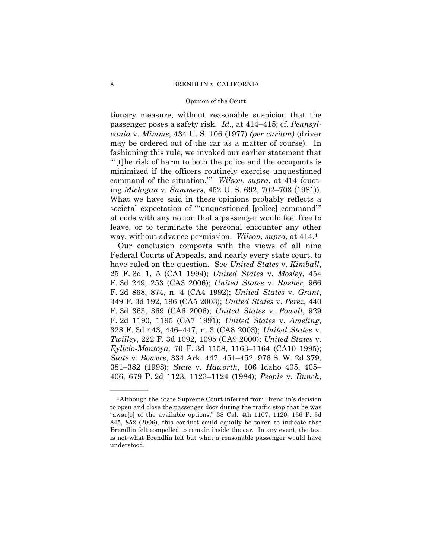tionary measure, without reasonable suspicion that the passenger poses a safety risk. *Id*., at 414–415; cf. *Pennsylvania* v. *Mimms*, 434 U. S. 106 (1977) *(per curiam)* (driver may be ordered out of the car as a matter of course). In fashioning this rule, we invoked our earlier statement that "'[t]he risk of harm to both the police and the occupants is minimized if the officers routinely exercise unquestioned command of the situation.'" *Wilson*, *supra*, at 414 (quoting *Michigan* v. *Summers*, 452 U. S. 692, 702–703 (1981)). What we have said in these opinions probably reflects a societal expectation of "'unquestioned [police] command'" at odds with any notion that a passenger would feel free to leave, or to terminate the personal encounter any other way, without advance permission. *Wilson*, *supra*, at 414.4

Our conclusion comports with the views of all nine Federal Courts of Appeals, and nearly every state court, to have ruled on the question. See *United States* v. *Kimball*, 25 F. 3d 1, 5 (CA1 1994); *United States* v. *Mosley*, 454 F. 3d 249, 253 (CA3 2006); *United States* v. *Rusher*, 966 F. 2d 868, 874, n. 4 (CA4 1992); *United States* v. *Grant*, 349 F. 3d 192, 196 (CA5 2003); *United States* v. *Perez*, 440 F. 3d 363, 369 (CA6 2006); *United States* v. *Powell*, 929 F. 2d 1190, 1195 (CA7 1991); *United States* v. *Ameling*, 328 F. 3d 443, 446–447, n. 3 (CA8 2003); *United States* v. *Twilley*, 222 F. 3d 1092, 1095 (CA9 2000); *United States* v. *Eylicio-Montoya*, 70 F. 3d 1158, 1163–1164 (CA10 1995); *State* v. *Bowers*, 334 Ark. 447, 451–452, 976 S. W. 2d 379, 381–382 (1998); *State* v. *Haworth*, 106 Idaho 405, 405– 406, 679 P. 2d 1123, 1123–1124 (1984); *People* v. *Bunch*,

<sup>4</sup>Although the State Supreme Court inferred from Brendlin's decision to open and close the passenger door during the traffic stop that he was "awar[e] of the available options," 38 Cal. 4th 1107, 1120, 136 P. 3d 845, 852 (2006), this conduct could equally be taken to indicate that Brendlin felt compelled to remain inside the car. In any event, the test is not what Brendlin felt but what a reasonable passenger would have understood.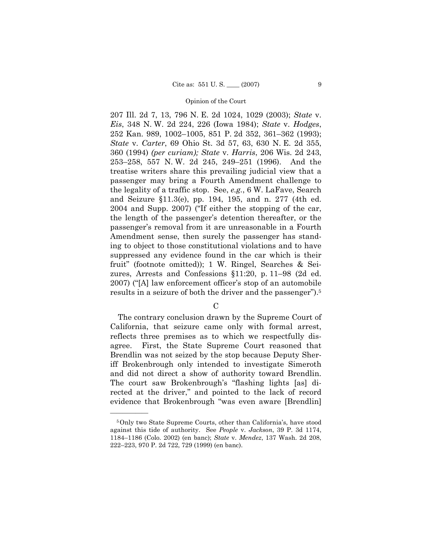207 Ill. 2d 7, 13, 796 N. E. 2d 1024, 1029 (2003); *State* v. *Eis*, 348 N. W. 2d 224, 226 (Iowa 1984); *State* v. *Hodges*, 252 Kan. 989, 1002–1005, 851 P. 2d 352, 361–362 (1993); *State* v. *Carter*, 69 Ohio St. 3d 57, 63, 630 N. E. 2d 355, 360 (1994) *(per curiam); State* v. *Harris*, 206 Wis. 2d 243, 253–258, 557 N. W. 2d 245, 249–251 (1996). And the treatise writers share this prevailing judicial view that a passenger may bring a Fourth Amendment challenge to the legality of a traffic stop. See, *e.g.*, 6 W. LaFave, Search and Seizure §11.3(e), pp. 194, 195, and n. 277 (4th ed. 2004 and Supp. 2007) ("If either the stopping of the car, the length of the passenger's detention thereafter, or the passenger's removal from it are unreasonable in a Fourth Amendment sense, then surely the passenger has standing to object to those constitutional violations and to have suppressed any evidence found in the car which is their fruit" (footnote omitted)); 1 W. Ringel, Searches & Seizures, Arrests and Confessions §11:20, p. 11–98 (2d ed. 2007) ("[A] law enforcement officer's stop of an automobile results in a seizure of both the driver and the passenger").<sup>5</sup>

 $\mathcal{C}$ 

The contrary conclusion drawn by the Supreme Court of California, that seizure came only with formal arrest, reflects three premises as to which we respectfully disagree. First, the State Supreme Court reasoned that Brendlin was not seized by the stop because Deputy Sheriff Brokenbrough only intended to investigate Simeroth and did not direct a show of authority toward Brendlin. The court saw Brokenbrough's "flashing lights [as] directed at the driver," and pointed to the lack of record evidence that Brokenbrough "was even aware [Brendlin]

<sup>5</sup>Only two State Supreme Courts, other than California's, have stood against this tide of authority. See *People* v. *Jackson*, 39 P. 3d 1174, 1184–1186 (Colo. 2002) (en banc); *State* v. *Mendez*, 137 Wash. 2d 208, 222–223, 970 P. 2d 722, 729 (1999) (en banc).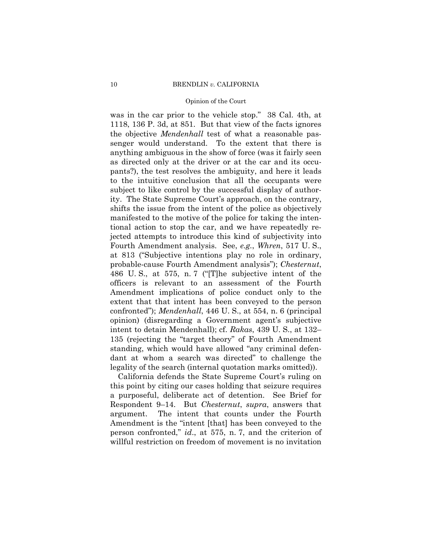was in the car prior to the vehicle stop." 38 Cal. 4th, at 1118, 136 P. 3d, at 851. But that view of the facts ignores the objective *Mendenhall* test of what a reasonable passenger would understand. To the extent that there is anything ambiguous in the show of force (was it fairly seen as directed only at the driver or at the car and its occupants?), the test resolves the ambiguity, and here it leads to the intuitive conclusion that all the occupants were subject to like control by the successful display of authority. The State Supreme Court's approach, on the contrary, shifts the issue from the intent of the police as objectively manifested to the motive of the police for taking the intentional action to stop the car, and we have repeatedly rejected attempts to introduce this kind of subjectivity into Fourth Amendment analysis. See, *e.g.*, *Whren*, 517 U. S., at 813 ("Subjective intentions play no role in ordinary, probable-cause Fourth Amendment analysis"); *Chesternut*, 486 U. S., at 575, n. 7 ("[T]he subjective intent of the officers is relevant to an assessment of the Fourth Amendment implications of police conduct only to the extent that that intent has been conveyed to the person confronted"); *Mendenhall*, 446 U. S., at 554, n. 6 (principal opinion) (disregarding a Government agent's subjective intent to detain Mendenhall); cf. *Rakas*, 439 U. S., at 132– 135 (rejecting the "target theory" of Fourth Amendment standing, which would have allowed "any criminal defendant at whom a search was directed" to challenge the legality of the search (internal quotation marks omitted)).

California defends the State Supreme Court's ruling on this point by citing our cases holding that seizure requires a purposeful, deliberate act of detention. See Brief for Respondent 9–14. But *Chesternut*, *supra*, answers that argument. The intent that counts under the Fourth Amendment is the "intent [that] has been conveyed to the person confronted," *id*., at 575, n. 7, and the criterion of willful restriction on freedom of movement is no invitation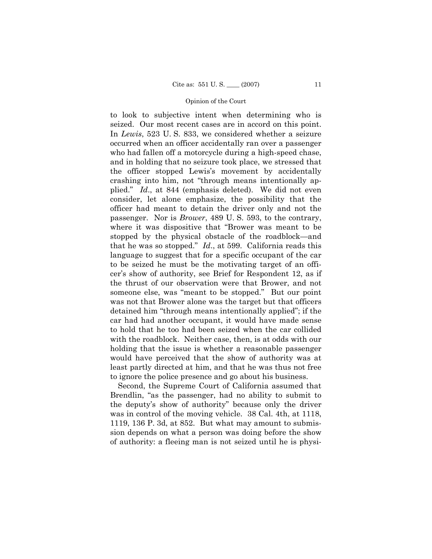to look to subjective intent when determining who is seized. Our most recent cases are in accord on this point. In *Lewis*, 523 U. S. 833, we considered whether a seizure occurred when an officer accidentally ran over a passenger who had fallen off a motorcycle during a high-speed chase, and in holding that no seizure took place, we stressed that the officer stopped Lewis's movement by accidentally crashing into him, not "through means intentionally applied." *Id*., at 844 (emphasis deleted). We did not even consider, let alone emphasize, the possibility that the officer had meant to detain the driver only and not the passenger. Nor is *Brower*, 489 U. S. 593, to the contrary, where it was dispositive that "Brower was meant to be stopped by the physical obstacle of the roadblock—and that he was so stopped." *Id*., at 599. California reads this language to suggest that for a specific occupant of the car to be seized he must be the motivating target of an officer's show of authority, see Brief for Respondent 12, as if the thrust of our observation were that Brower, and not someone else, was "meant to be stopped." But our point was not that Brower alone was the target but that officers detained him "through means intentionally applied"; if the car had had another occupant, it would have made sense to hold that he too had been seized when the car collided with the roadblock. Neither case, then, is at odds with our holding that the issue is whether a reasonable passenger would have perceived that the show of authority was at least partly directed at him, and that he was thus not free to ignore the police presence and go about his business.

Second, the Supreme Court of California assumed that Brendlin, "as the passenger, had no ability to submit to the deputy's show of authority" because only the driver was in control of the moving vehicle. 38 Cal. 4th, at 1118, 1119, 136 P. 3d, at 852. But what may amount to submission depends on what a person was doing before the show of authority: a fleeing man is not seized until he is physi-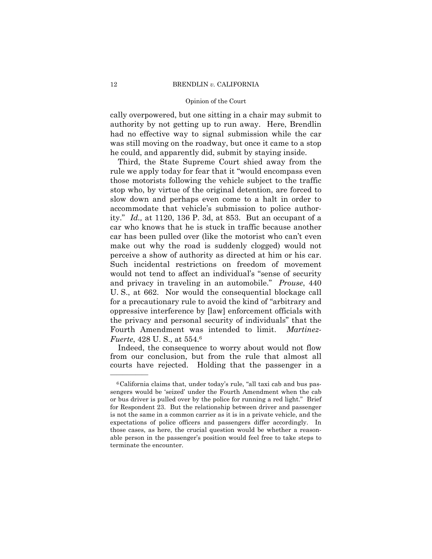cally overpowered, but one sitting in a chair may submit to authority by not getting up to run away. Here, Brendlin had no effective way to signal submission while the car was still moving on the roadway, but once it came to a stop he could, and apparently did, submit by staying inside.

Third, the State Supreme Court shied away from the rule we apply today for fear that it "would encompass even those motorists following the vehicle subject to the traffic stop who, by virtue of the original detention, are forced to slow down and perhaps even come to a halt in order to accommodate that vehicle's submission to police authority." *Id.,* at 1120, 136 P. 3d, at 853. But an occupant of a car who knows that he is stuck in traffic because another car has been pulled over (like the motorist who can't even make out why the road is suddenly clogged) would not perceive a show of authority as directed at him or his car. Such incidental restrictions on freedom of movement would not tend to affect an individual's "sense of security and privacy in traveling in an automobile." *Prouse*, 440 U. S., at 662. Nor would the consequential blockage call for a precautionary rule to avoid the kind of "arbitrary and oppressive interference by [law] enforcement officials with the privacy and personal security of individuals" that the Fourth Amendment was intended to limit. *Martinez-Fuerte*, 428 U. S., at 554.6

Indeed, the consequence to worry about would not flow from our conclusion, but from the rule that almost all courts have rejected. Holding that the passenger in a

<sup>6</sup>California claims that, under today's rule, "all taxi cab and bus passengers would be 'seized' under the Fourth Amendment when the cab or bus driver is pulled over by the police for running a red light." Brief for Respondent 23. But the relationship between driver and passenger is not the same in a common carrier as it is in a private vehicle, and the expectations of police officers and passengers differ accordingly. In those cases, as here, the crucial question would be whether a reasonable person in the passenger's position would feel free to take steps to terminate the encounter.